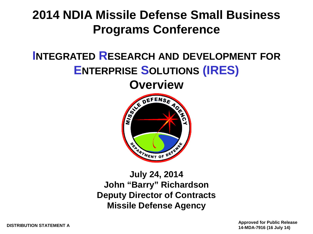#### **2014 NDIA Missile Defense Small Business Programs Conference**

#### **INTEGRATED RESEARCH AND DEVELOPMENT FOR ENTERPRISE SOLUTIONS (IRES)**



**July 24, 2014 John "Barry" Richardson Deputy Director of Contracts Missile Defense Agency**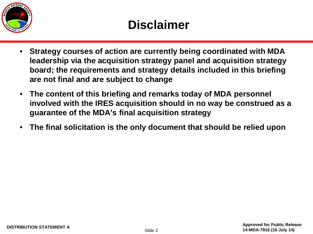

- **Strategy courses of action are currently being coordinated with MDA leadership via the acquisition strategy panel and acquisition strategy board; the requirements and strategy details included in this briefing are not final and are subject to change**
- **The content of this briefing and remarks today of MDA personnel involved with the IRES acquisition should in no way be construed as a guarantee of the MDA's final acquisition strategy**
- **The final solicitation is the only document that should be relied upon**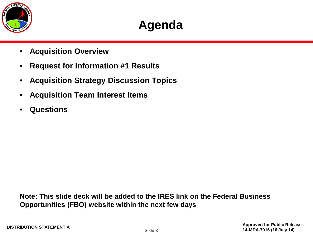

#### **Agenda**

- **Acquisition Overview**
- **Request for Information #1 Results**
- **Acquisition Strategy Discussion Topics**
- **Acquisition Team Interest Items**
- **Questions**

**Note: This slide deck will be added to the IRES link on the Federal Business Opportunities (FBO) website within the next few days**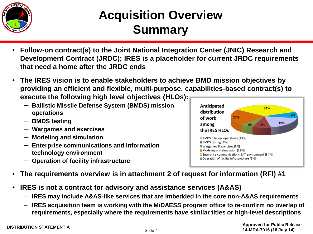

#### **Acquisition Overview Summary**

- **Follow-on contract(s) to the Joint National Integration Center (JNIC) Research and Development Contract (JRDC); IRES is a placeholder for current JRDC requirements that need a home after the JRDC ends**
- **The IRES vision is to enable stakeholders to achieve BMD mission objectives by providing an efficient and flexible, multi-purpose, capabilities-based contract(s) to execute the following high level objectives (HLOs):**

Anticipated

distribution

the IRES HLOs

BMDS testing [9%] Wargames & exercises [6%] Modeling and simulation [23%]

BMDS mission operations [19%]

□ Operation of facility infrastructure [9%]

of work

among

23%

□ Enterprise communications & IT environment [34%]

- **Ballistic Missile Defense System (BMDS) mission operations**
- **BMDS testing**
- **Wargames and exercises**
- **Modeling and simulation**
- **Enterprise communications and information technology environment**
- **Operation of facility infrastructure**
- **The requirements overview is in attachment 2 of request for information (RFI) #1**
- **IRES is not a contract for advisory and assistance services (A&AS)**
	- **IRES may include A&AS-like services that are imbedded in the core non-A&AS requirements**
	- **IRES acquisition team is working with the MiDAESS program office to re-confirm no overlap of requirements, especially where the requirements have similar titles or high-level descriptions**



34%

9%

19%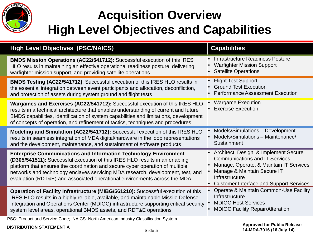

### **Acquisition Overview High Level Objectives and Capabilities**

| <b>High Level Objectives (PSC/NAICS)</b>                                                                                                                                                                                                                                                                                                                                                                | <b>Capabilities</b>                                                                                                                                                                                                                         |
|---------------------------------------------------------------------------------------------------------------------------------------------------------------------------------------------------------------------------------------------------------------------------------------------------------------------------------------------------------------------------------------------------------|---------------------------------------------------------------------------------------------------------------------------------------------------------------------------------------------------------------------------------------------|
| BMDS Mission Operations (AC22/541712): Successful execution of this IRES<br>HLO results in maintaining an effective operational readiness posture, delivering<br>warfighter mission support, and providing satellite operations                                                                                                                                                                         | Infrastructure Readiness Posture<br>$\bullet$<br><b>Warfighter Mission Support</b><br><b>Satellite Operations</b>                                                                                                                           |
| BMDS Testing (AC22/541712): Successful execution of this IRES HLO results in<br>the essential integration between event participants and allocation, deconfliction,<br>and protection of assets during system ground and flight tests                                                                                                                                                                   | <b>Flight Test Support</b><br><b>Ground Test Execution</b><br><b>Performance Assessment Execution</b>                                                                                                                                       |
| Wargames and Exercises (AC22/541712): Successful execution of this IRES HLO<br>results in a technical architecture that enables understanding of current and future<br>BMDS capabilities, identification of system capabilities and limitations, development<br>of concepts of operation, and refinement of tactics, techniques and procedures                                                          | <b>Wargame Execution</b><br>$\bullet$<br><b>Exercise Execution</b>                                                                                                                                                                          |
| Modeling and Simulation (AC22/541712): Successful execution of this IRES HLO<br>results in seamless integration of MDA digital/hardware in the loop representations<br>and the development, maintenance, and sustainment of software products                                                                                                                                                           | Models/Simulations - Development<br>Models/Simulations - Maintenance/<br>Sustainment                                                                                                                                                        |
| <b>Enterprise Communications and Information Technology Environment</b><br>(D305/541511): Successful execution of this IRES HLO results in an enabling<br>platform that ensures the coordination and secure cyber operation of multiple<br>networks and technology enclaves servicing MDA research, development, test, and<br>evaluation (RDT&E) and associated operational environments across the MDA | • Architect, Design, & Implement Secure<br><b>Communications and IT Services</b><br>Manage, Operate, & Maintain IT Services<br>Manage & Maintain Secure IT<br>Infrastructure<br><b>Customer Interface and Support Services</b><br>$\bullet$ |
| Operation of Facility Infrastructure (MIBG/561210): Successful execution of this<br>IRES HLO results in a highly reliable, available, and maintainable Missile Defense<br>Integration and Operations Center (MDIOC) infrastructure supporting critical security<br>system level areas, operational BMDS assets, and RDT&E operations                                                                    | <b>Operate &amp; Maintain Common-Use Facility</b><br>Infrastructure<br><b>MDIOC Host Services</b><br><b>MDIOC Facility Repair/Alteration</b>                                                                                                |
| PSC: Product and Service Code; NAICS: North American Industry Classification System                                                                                                                                                                                                                                                                                                                     |                                                                                                                                                                                                                                             |

**DISTRIBUTION STATEMENT A Approved for Public Release 14-MDA-7916 (16 July 14)**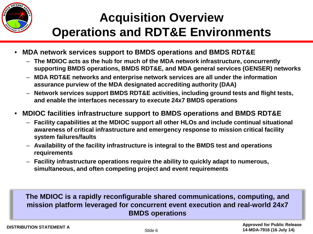

### **Acquisition Overview Operations and RDT&E Environments**

- **MDA network services support to BMDS operations and BMDS RDT&E**
	- **The MDIOC acts as the hub for much of the MDA network infrastructure, concurrently supporting BMDS operations, BMDS RDT&E, and MDA general services (GENSER) networks**
	- **MDA RDT&E networks and enterprise network services are all under the information assurance purview of the MDA designated accrediting authority (DAA)**
	- **Network services support BMDS RDT&E activities, including ground tests and flight tests, and enable the interfaces necessary to execute 24x7 BMDS operations**
- **MDIOC facilities infrastructure support to BMDS operations and BMDS RDT&E**
	- **Facility capabilities at the MDIOC support all other HLOs and include continual situational awareness of critical infrastructure and emergency response to mission critical facility system failures/faults**
	- **Availability of the facility infrastructure is integral to the BMDS test and operations requirements**
	- **Facility infrastructure operations require the ability to quickly adapt to numerous, simultaneous, and often competing project and event requirements**

#### **The MDIOC is a rapidly reconfigurable shared communications, computing, and mission platform leveraged for concurrent event execution and real-world 24x7 BMDS operations**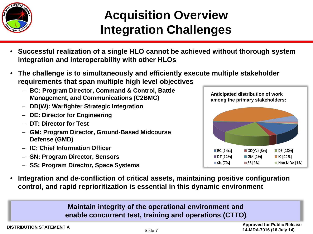

### **Acquisition Overview Integration Challenges**

- **Successful realization of a single HLO cannot be achieved without thorough system integration and interoperability with other HLOs**
- **The challenge is to simultaneously and efficiently execute multiple stakeholder requirements that span multiple high level objectives** 
	- **BC: Program Director, Command & Control, Battle Management, and Communications (C2BMC)**
	- **DD(W): Warfighter Strategic Integration**
	- **DE: Director for Engineering**
	- **DT: Director for Test**
	- **GM: Program Director, Ground-Based Midcourse Defense (GMD)**
	- **IC: Chief Information Officer**
	- **SN: Program Director, Sensors**
	- **SS: Program Director, Space Systems**



• **Integration and de-confliction of critical assets, maintaining positive configuration control, and rapid reprioritization is essential in this dynamic environment**

> **Maintain integrity of the operational environment and enable concurrent test, training and operations (CTTO)**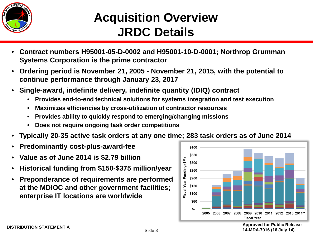

#### **Acquisition Overview JRDC Details**

- **Contract numbers H95001-05-D-0002 and H95001-10-D-0001; Northrop Grumman Systems Corporation is the prime contractor**
- **Ordering period is November 21, 2005 - November 21, 2015, with the potential to continue performance through January 23, 2017**
- **Single-award, indefinite delivery, indefinite quantity (IDIQ) contract**
	- **Provides end-to-end technical solutions for systems integration and test execution**
	- **Maximizes efficiencies by cross-utilization of contractor resources**
	- **Provides ability to quickly respond to emerging/changing missions**
	- **Does not require ongoing task order competitions**
- **Typically 20-35 active task orders at any one time; 283 task orders as of June 2014**
- **Predominantly cost-plus-award-fee**
- **Value as of June 2014 is \$2.79 billion**
- **Historical funding from \$150-\$375 million/year**
- **Preponderance of requirements are performed at the MDIOC and other government facilities; enterprise IT locations are worldwide**



**DISTRIBUTION STATEMENT A Approved for Public Release 14-MDA-7916 (16 July 14)**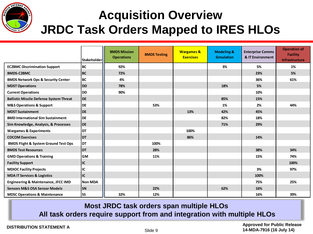

#### **Acquisition Overview JRDC Task Orders Mapped to IRES HLOs**

|                                                 | <b>Stakeholderl</b> | <b>BMDS Mission</b><br><b>Operations</b> | <b>BMDS Testing</b> | <b>Wargames &amp;</b><br><b>Exercises</b> | <b>Modeling &amp;</b><br><b>Simulation</b> | <b>Enterprise Comms</b><br>& IT Environment | <b>Operation of</b><br><b>Facility</b><br><b>Infrastructure</b> |
|-------------------------------------------------|---------------------|------------------------------------------|---------------------|-------------------------------------------|--------------------------------------------|---------------------------------------------|-----------------------------------------------------------------|
| <b>EC2BMC Discrimination Support</b>            | <b>BC</b>           | 92%                                      |                     |                                           | 3%                                         | 5%                                          | 1%                                                              |
| <b>BMDS-C2BMC</b>                               | <b>BC</b>           | 72%                                      |                     |                                           |                                            | 23%                                         | 5%                                                              |
| <b>BMDS Network Ops &amp; Security Center</b>   | <b>BC</b>           | 4%                                       |                     |                                           |                                            | 36%                                         | 61%                                                             |
| <b>MDST Operations</b>                          | <b>IDD</b>          | 78%                                      |                     |                                           | 18%                                        | 5%                                          |                                                                 |
| <b>Current Operations</b>                       | l dd                | 90%                                      |                     |                                           |                                            | 10%                                         |                                                                 |
| <b>Ballistic Missile Defense System Threat</b>  | <b>I</b> DE         |                                          |                     |                                           | 85%                                        | 15%                                         |                                                                 |
| <b>M&amp;S Operations &amp; Support</b>         | l DE                |                                          | 53%                 |                                           | 1%                                         | 2%                                          | 44%                                                             |
| <b>MDST Sustainment</b>                         | <b>I</b> DE         |                                          |                     | 13%                                       | 42%                                        | 45%                                         |                                                                 |
| <b>BMD International Sim Sustainment</b>        | DE                  |                                          |                     |                                           | 82%                                        | 18%                                         |                                                                 |
| Sim Knowledge, Analysis, & Processes            | DE                  |                                          |                     |                                           | 71%                                        | 29%                                         |                                                                 |
| <b>Wargames &amp; Experiments</b>               | IDT                 |                                          |                     | 100%                                      |                                            |                                             |                                                                 |
| <b>COCOM Exercises</b>                          | <b>DT</b>           |                                          |                     | 86%                                       |                                            | 14%                                         |                                                                 |
| <b>BMDS Flight &amp; System Ground Test Ops</b> | <b>DT</b>           |                                          | 100%                |                                           |                                            |                                             |                                                                 |
| <b>BMDS Test Resources</b>                      | <b>IDT</b>          |                                          | 28%                 |                                           |                                            | 38%                                         | 34%                                                             |
| <b>GMD Operations &amp; Training</b>            | <b>GM</b>           |                                          | 11%                 |                                           |                                            | 15%                                         | 74%                                                             |
| <b>Facility Support</b>                         | IC                  |                                          |                     |                                           |                                            |                                             | 100%                                                            |
| <b>MDIOC Facility Projects</b>                  | IC                  |                                          |                     |                                           |                                            | 3%                                          | 97%                                                             |
| <b>MDA IT Services &amp; Logistics</b>          | IC                  |                                          |                     |                                           |                                            | 100%                                        |                                                                 |
| Engineering & Maintenance, JFCC IMD             | <b>Non MDA</b>      |                                          |                     |                                           |                                            | 75%                                         | 25%                                                             |
| <b>Sensors M&amp;S OSA Sensor Models</b>        | <b>SN</b>           |                                          | 22%                 |                                           | 62%                                        | 16%                                         |                                                                 |
| <b>MDSC Operations &amp; Maintenance</b>        | <b>SS</b>           | 32%                                      | 12%                 |                                           |                                            | 16%                                         | 39%                                                             |

#### **Most JRDC task orders span multiple HLOs**

**All task orders require support from and integration with multiple HLOs**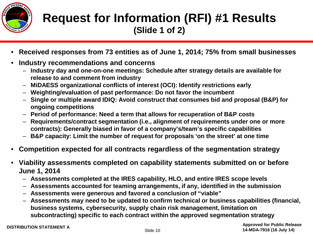

#### **Request for Information (RFI) #1 Results (Slide 1 of 2)**

- **Received responses from 73 entities as of June 1, 2014; 75% from small businesses**
- **Industry recommendations and concerns**
	- **Industry day and one-on-one meetings: Schedule after strategy details are available for release to and comment from industry**
	- **MiDAESS organizational conflicts of interest (OCI): Identify restrictions early**
	- **Weighting/evaluation of past performance: Do not favor the incumbent**
	- **Single or multiple award IDIQ: Avoid construct that consumes bid and proposal (B&P) for ongoing competitions**
	- **Period of performance: Need a term that allows for recuperation of B&P costs**
	- **Requirements/contract segmentation (i.e., alignment of requirements under one or more contracts): Generally biased in favor of a company's/team's specific capabilities**
	- **B&P capacity: Limit the number of request for proposals 'on the street' at one time**
- **Competition expected for all contracts regardless of the segmentation strategy**
- **Viability assessments completed on capability statements submitted on or before June 1, 2014**
	- **Assessments completed at the IRES capability, HLO, and entire IRES scope levels**
	- **Assessments accounted for teaming arrangements, if any, identified in the submission**
	- **Assessments were generous and favored a conclusion of "viable"**
	- **Assessments may need to be updated to confirm technical or business capabilities (financial, business systems, cybersecurity, supply chain risk management, limitation on subcontracting) specific to each contract within the approved segmentation strategy**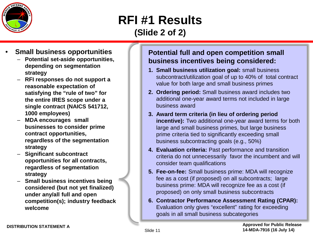

#### **RFI #1 Results (Slide 2 of 2)**

- **Small business opportunities**
	- **Potential set-aside opportunities, depending on segmentation strategy**
	- **RFI responses do not support a reasonable expectation of satisfying the "rule of two" for the entire IRES scope under a single contract (NAICS 541712, 1000 employees)**
	- **MDA encourages small businesses to consider prime contract opportunities, regardless of the segmentation strategy**
	- **Significant subcontract opportunities for all contracts, regardless of segmentation strategy**
	- **Small business incentives being considered (but not yet finalized) under any/all full and open competition(s); industry feedback welcome**

#### **Potential full and open competition small business incentives being considered:**

- **1. Small business utilization goal:** small business subcontract/utilization goal of up to 40% of total contract value for both large and small business primes
- **2. Ordering period:** Small business award includes two additional one-year award terms not included in large business award
- **3. Award term criteria (in lieu of ordering period incentive):** Two additional one-year award terms for both large and small business primes, but large business prime criteria tied to significantly exceeding small business subcontracting goals (e.g., 50%)
- **4. Evaluation criteria:** Past performance and transition criteria do not unnecessarily favor the incumbent and will consider team qualifications
- **5. Fee-on-fee:** Small business prime: MDA will recognize fee as a cost (if proposed) on all subcontracts; large business prime: MDA will recognize fee as a cost (if proposed) on only small business subcontracts
- **6. Contractor Performance Assessment Rating (CPAR):**  Evaluation only gives "excellent" rating for exceeding goals in all small business subcategories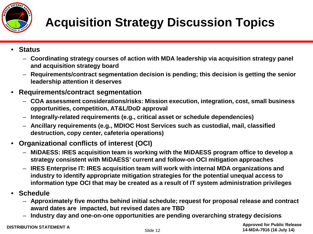

## **Acquisition Strategy Discussion Topics**

- **Status**
	- **Coordinating strategy courses of action with MDA leadership via acquisition strategy panel and acquisition strategy board**
	- **Requirements/contract segmentation decision is pending; this decision is getting the senior leadership attention it deserves**
- **Requirements/contract segmentation**
	- **COA assessment considerations/risks: Mission execution, integration, cost, small business opportunities, competition, AT&L/DoD approval**
	- **Integrally-related requirements (e.g., critical asset or schedule dependencies)**
	- **Ancillary requirements (e.g., MDIOC Host Services such as custodial, mail, classified destruction, copy center, cafeteria operations)**
- **Organizational conflicts of interest (OCI)** 
	- **MiDAESS: IRES acquisition team is working with the MiDAESS program office to develop a strategy consistent with MiDAESS' current and follow-on OCI mitigation approaches**
	- **IRES Enterprise IT: IRES acquisition team will work with internal MDA organizations and industry to identify appropriate mitigation strategies for the potential unequal access to information type OCI that may be created as a result of IT system administration privileges**
- **Schedule**
	- **Approximately five months behind initial schedule; request for proposal release and contract award dates are impacted, but revised dates are TBD**
	- **Industry day and one-on-one opportunities are pending overarching strategy decisions**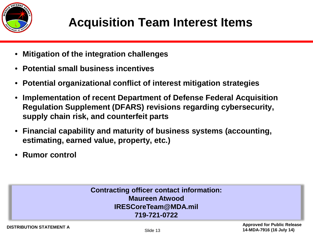

### **Acquisition Team Interest Items**

- **Mitigation of the integration challenges**
- **Potential small business incentives**
- **Potential organizational conflict of interest mitigation strategies**
- **Implementation of recent Department of Defense Federal Acquisition Regulation Supplement (DFARS) revisions regarding cybersecurity, supply chain risk, and counterfeit parts**
- **Financial capability and maturity of business systems (accounting, estimating, earned value, property, etc.)**
- **Rumor control**

#### **Contracting officer contact information: Maureen Atwood IRESCoreTeam@MDA.mil 719-721-0722**